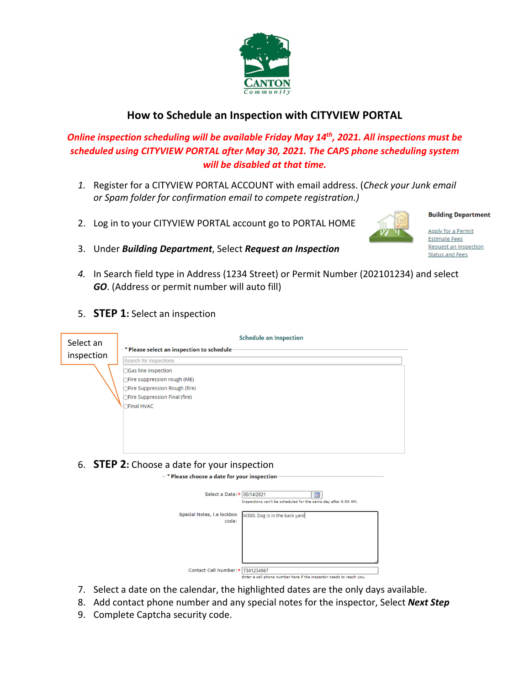

## **How to Schedule an Inspection with CITYVIEW PORTAL**

## *Online inspection scheduling will be available Friday May 14th, 2021. All inspections must be scheduled using CITYVIEW PORTAL after May 30, 2021. The CAPS phone scheduling system will be disabled at that time.*

- *1.* Register for a CITYVIEW PORTAL ACCOUNT with email address. (*Check your Junk email or Spam folder for confirmation email to compete registration.)*
- 2. Log in to your CITYVIEW PORTAL account go to PORTAL HOME



**Apply for a Permit Estimate Fees** Request an Inspection **Status and Fees** 

**Building Department** 

- 3. Under *Building Department*, Select *Request an Inspection*
- *4.* In Search field type in Address (1234 Street) or Permit Number (202101234) and select *GO*. (Address or permit number will auto fill)
- 5. **STEP 1:** Select an inspection

| Select an  | <b>Schedule an Inspection</b><br>- TPlease select an inspection to schedule-                             |  |
|------------|----------------------------------------------------------------------------------------------------------|--|
|            |                                                                                                          |  |
| inspection | Search for inspections                                                                                   |  |
|            | ○Gas line inspection                                                                                     |  |
|            | ○Fire suppression rough (ME)                                                                             |  |
|            | ○Fire Suppression Rough (fire)                                                                           |  |
|            | ○Fire Suppression Final (fire)                                                                           |  |
|            | ○Final HVAC                                                                                              |  |
|            |                                                                                                          |  |
|            |                                                                                                          |  |
|            |                                                                                                          |  |
|            |                                                                                                          |  |
|            |                                                                                                          |  |
|            | 6. <b>STEP 2:</b> Choose a date for your inspection                                                      |  |
|            |                                                                                                          |  |
|            | $ \mathbf$ Please choose a date for your inspection                                                      |  |
|            | Select a Date: * 05/14/2021<br>圖                                                                         |  |
|            | Inspections can't be scheduled for the same day after 6:00 AM.                                           |  |
|            |                                                                                                          |  |
|            | Special Notes, i.e lockbox<br>M300, Dog is in the back yard<br>code:                                     |  |
|            |                                                                                                          |  |
|            |                                                                                                          |  |
|            |                                                                                                          |  |
|            |                                                                                                          |  |
|            |                                                                                                          |  |
|            | Contact Cell Number: * 7341234567<br>Enter a cell phone number here if the inspector needs to reach you. |  |

- 7. Select a date on the calendar, the highlighted dates are the only days available.
- 8. Add contact phone number and any special notes for the inspector, Select *Next Step*
- 9. Complete Captcha security code.